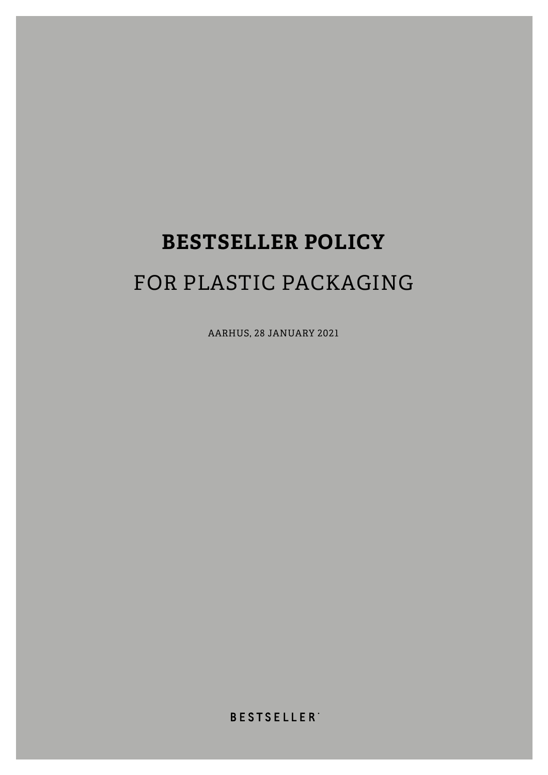# **BESTSELLER POLICY**  FOR PLASTIC PACKAGING

AARHUS, 28 JANUARY 2021

**BESTSELLER**<sup>\*</sup>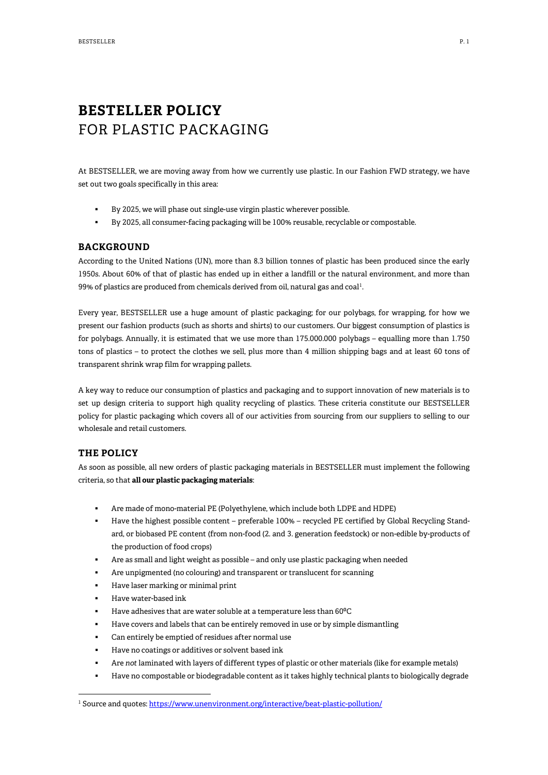## **BESTELLER POLICY** FOR PLASTIC PACKAGING

At BESTSELLER, we are moving away from how we currently use plastic. In our Fashion FWD strategy, we have set out two goals specifically in this area:

- By 2025, we will phase out single-use virgin plastic wherever possible.
- By 2025, all consumer-facing packaging will be 100% reusable, recyclable or compostable.

#### **BACKGROUND**

According to the United Nations (UN), more than 8.3 billion tonnes of plastic has been produced since the early 1950s. About 60% of that of plastic has ended up in either a landfill or the natural environment, and more than  $99\%$  of plastics are produced from chemicals derived from oil, natural gas and coal<sup>[1](#page-1-0)</sup>.

Every year, BESTSELLER use a huge amount of plastic packaging; for our polybags, for wrapping, for how we present our fashion products (such as shorts and shirts) to our customers. Our biggest consumption of plastics is for polybags. Annually, it is estimated that we use more than 175.000.000 polybags – equalling more than 1.750 tons of plastics – to protect the clothes we sell, plus more than 4 million shipping bags and at least 60 tons of transparent shrink wrap film for wrapping pallets.

A key way to reduce our consumption of plastics and packaging and to support innovation of new materials is to set up design criteria to support high quality recycling of plastics. These criteria constitute our BESTSELLER policy for plastic packaging which covers all of our activities from sourcing from our suppliers to selling to our wholesale and retail customers.

#### **THE POLICY**

As soon as possible, all new orders of plastic packaging materials in BESTSELLER must implement the following criteria, so that **all our plastic packaging materials**:

- Are made of mono-material PE (Polyethylene, which include both LDPE and HDPE)
- Have the highest possible content preferable 100% recycled PE certified by Global Recycling Standard, or biobased PE content (from non-food (2. and 3. generation feedstock) or non-edible by-products of the production of food crops)
- Are as small and light weight as possible and only use plastic packaging when needed
- Are unpigmented (no colouring) and transparent or translucent for scanning
- Have laser marking or minimal print
- Have water-based ink
- Have adhesives that are water soluble at a temperature less than 60°C
- Have covers and labels that can be entirely removed in use or by simple dismantling
- Can entirely be emptied of residues after normal use
- Have no coatings or additives or solvent based ink
- Are *not* laminated with layers of different types of plastic or other materials (like for example metals)
- Have no compostable or biodegradable content as it takes highly technical plants to biologically degrade

<span id="page-1-0"></span><sup>&</sup>lt;sup>1</sup> Source and quotes[: https://www.unenvironment.org/interactive/beat-plastic-pollution/](https://www.unenvironment.org/interactive/beat-plastic-pollution/)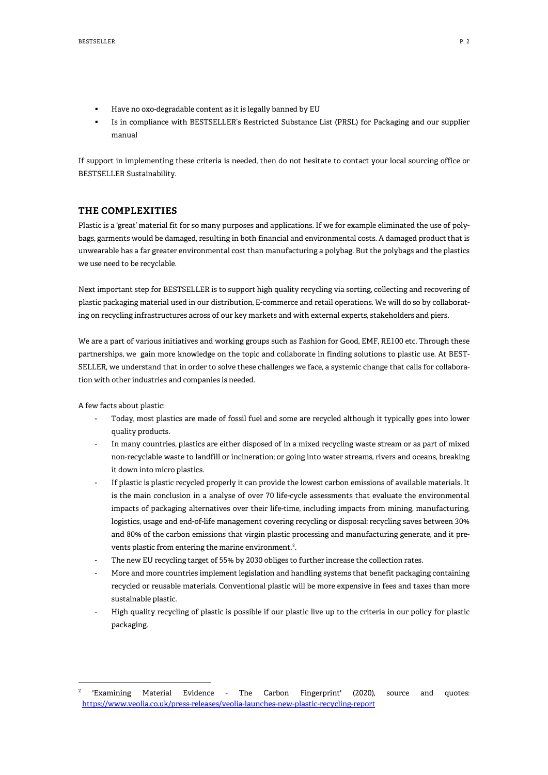- Have no oxo-degradable content as it is legally banned by EU
- Is in compliance with BESTSELLER's Restricted Substance List (PRSL) for Packaging and our supplier manual

If support in implementing these criteria is needed, then do not hesitate to contact your local sourcing office or BESTSELLER Sustainability.

#### **THE COMPLEXITIES**

Plastic is a 'great' material fit for so many purposes and applications. If we for example eliminated the use of polybags, garments would be damaged, resulting in both financial and environmental costs. A damaged product that is unwearable has a far greater environmental cost than manufacturing a polybag. But the polybags and the plastics we use need to be recyclable.

Next important step for BESTSELLER is to support high quality recycling via sorting, collecting and recovering of plastic packaging material used in our distribution, E-commerce and retail operations. We will do so by collaborating on recycling infrastructures across of our key markets and with external experts, stakeholders and piers.

We are a part of various initiatives and working groups such as Fashion for Good, EMF, RE100 etc. Through these partnerships, we gain more knowledge on the topic and collaborate in finding solutions to plastic use. At BEST-SELLER, we understand that in order to solve these challenges we face, a systemic change that calls for collaboration with other industries and companies is needed.

A few facts about plastic:

- Today, most plastics are made of fossil fuel and some are recycled although it typically goes into lower quality products.
- In many countries, plastics are either disposed of in a mixed recycling waste stream or as part of mixed non-recyclable waste to landfill or incineration; or going into water streams, rivers and oceans, breaking it down into micro plastics.
- If plastic is plastic recycled properly it can provide the lowest carbon emissions of available materials. It is the main conclusion in a analyse of over 70 life-cycle assessments that evaluate the environmental impacts of packaging alternatives over their life-time, including impacts from mining, manufacturing, logistics, usage and end-of-life management covering recycling or disposal; recycling saves between 30% and 80% of the carbon emissions that virgin plastic processing and manufacturing generate, and it pre-vents plastic from entering the marine environment.<sup>[2](#page-2-0)</sup>.
- The new EU recycling target of 55% by 2030 obliges to further increase the collection rates.
- More and more countries implement legislation and handling systems that benefit packaging containing recycled or reusable materials. Conventional plastic will be more expensive in fees and taxes than more sustainable plastic.
- High quality recycling of plastic is possible if our plastic live up to the criteria in our policy for plastic packaging.

<span id="page-2-0"></span><sup>2</sup> 'Examining Material Evidence - The Carbon Fingerprint' (2020), source and quotes: <https://www.veolia.co.uk/press-releases/veolia-launches-new-plastic-recycling-report>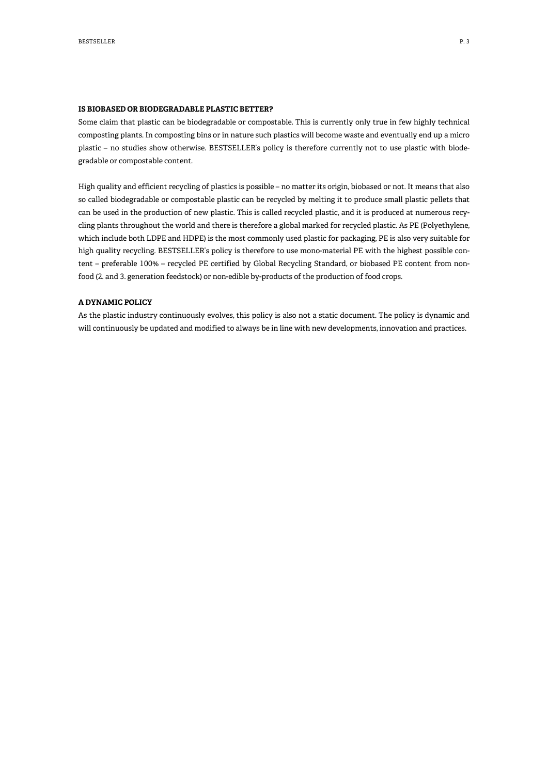#### **IS BIOBASED OR BIODEGRADABLE PLASTIC BETTER?**

Some claim that plastic can be biodegradable or compostable. This is currently only true in few highly technical composting plants. In composting bins or in nature such plastics will become waste and eventually end up a micro plastic – no studies show otherwise. BESTSELLER's policy is therefore currently not to use plastic with biodegradable or compostable content.

High quality and efficient recycling of plastics is possible – no matter its origin, biobased or not. It means that also so called biodegradable or compostable plastic can be recycled by melting it to produce small plastic pellets that can be used in the production of new plastic. This is called recycled plastic, and it is produced at numerous recycling plants throughout the world and there is therefore a global marked for recycled plastic. As PE (Polyethylene, which include both LDPE and HDPE) is the most commonly used plastic for packaging, PE is also very suitable for high quality recycling. BESTSELLER's policy is therefore to use mono-material PE with the highest possible content – preferable 100% – recycled PE certified by Global Recycling Standard, or biobased PE content from nonfood (2. and 3. generation feedstock) or non-edible by-products of the production of food crops.

#### **A DYNAMIC POLICY**

As the plastic industry continuously evolves, this policy is also not a static document. The policy is dynamic and will continuously be updated and modified to always be in line with new developments, innovation and practices.